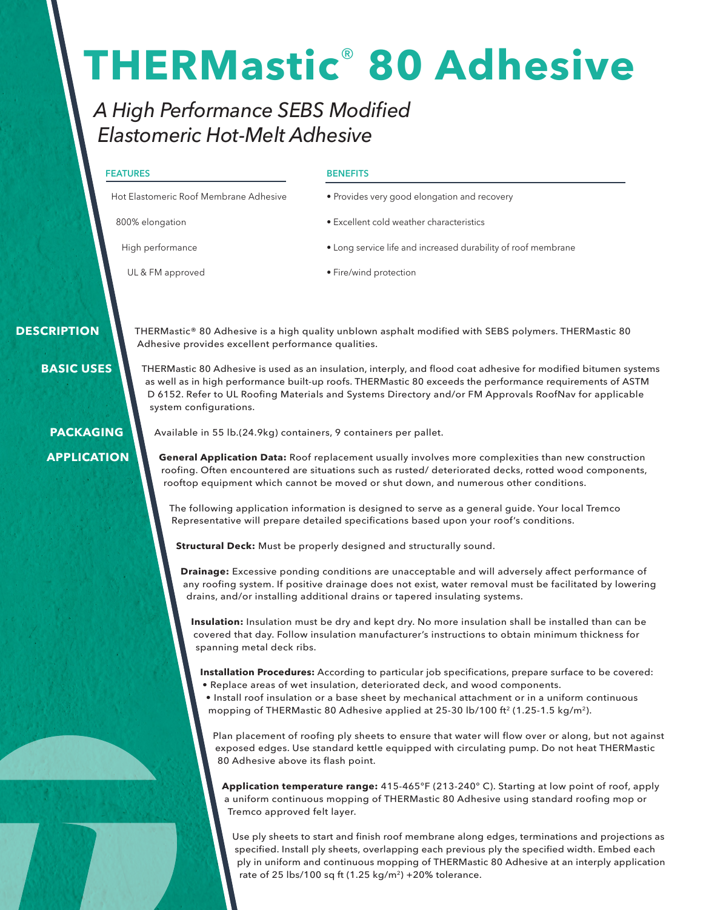# **THERMastic**® **80 Adhesive**

## *A High Performance SEBS Modified Elastomeric Hot-Melt Adhesive*

#### **FEATURES**

**BENEFITS**

Hot Elastomeric Roof Membrane Adhesive

800% elongation

High performance

- Provides very good elongation and recovery
- Excellent cold weather characteristics
- Long service life and increased durability of roof membrane

UL & FM approved

• Fire/wind protection

 **DESCRIPTION**

**BASIC USES**

THERMastic® 80 Adhesive is a high quality unblown asphalt modified with SEBS polymers. THERMastic 80 Adhesive provides excellent performance qualities.

THERMastic 80 Adhesive is used as an insulation, interply, and flood coat adhesive for modified bitumen systems as well as in high performance built-up roofs. THERMastic 80 exceeds the performance requirements of ASTM D 6152. Refer to UL Roofing Materials and Systems Directory and/or FM Approvals RoofNav for applicable system configurations.

## **PACKAGING APPLICATION**

Available in 55 lb.(24.9kg) containers, 9 containers per pallet.

**General Application Data:** Roof replacement usually involves more complexities than new construction roofing. Often encountered are situations such as rusted/ deteriorated decks, rotted wood components, rooftop equipment which cannot be moved or shut down, and numerous other conditions.

The following application information is designed to serve as a general guide. Your local Tremco Representative will prepare detailed specifications based upon your roof's conditions.

**Structural Deck:** Must be properly designed and structurally sound.

**Drainage:** Excessive ponding conditions are unacceptable and will adversely affect performance of any roofing system. If positive drainage does not exist, water removal must be facilitated by lowering drains, and/or installing additional drains or tapered insulating systems.

**Insulation:** Insulation must be dry and kept dry. No more insulation shall be installed than can be covered that day. Follow insulation manufacturer's instructions to obtain minimum thickness for spanning metal deck ribs.

**Installation Procedures:** According to particular job specifications, prepare surface to be covered:

- Replace areas of wet insulation, deteriorated deck, and wood components.
- Install roof insulation or a base sheet by mechanical attachment or in a uniform continuous mopping of THERMastic 80 Adhesive applied at 25-30 lb/100 ft<sup>2</sup> (1.25-1.5 kg/m<sup>2</sup>).

Plan placement of roofing ply sheets to ensure that water will flow over or along, but not against exposed edges. Use standard kettle equipped with circulating pump. Do not heat THERMastic 80 Adhesive above its flash point.

**Application temperature range:** 415-465°F (213-240° C). Starting at low point of roof, apply a uniform continuous mopping of THERMastic 80 Adhesive using standard roofing mop or Tremco approved felt layer.

Use ply sheets to start and finish roof membrane along edges, terminations and projections as specified. Install ply sheets, overlapping each previous ply the specified width. Embed each ply in uniform and continuous mopping of THERMastic 80 Adhesive at an interply application rate of 25 lbs/100 sq ft  $(1.25 \text{ kg/m}^2)$  +20% tolerance.